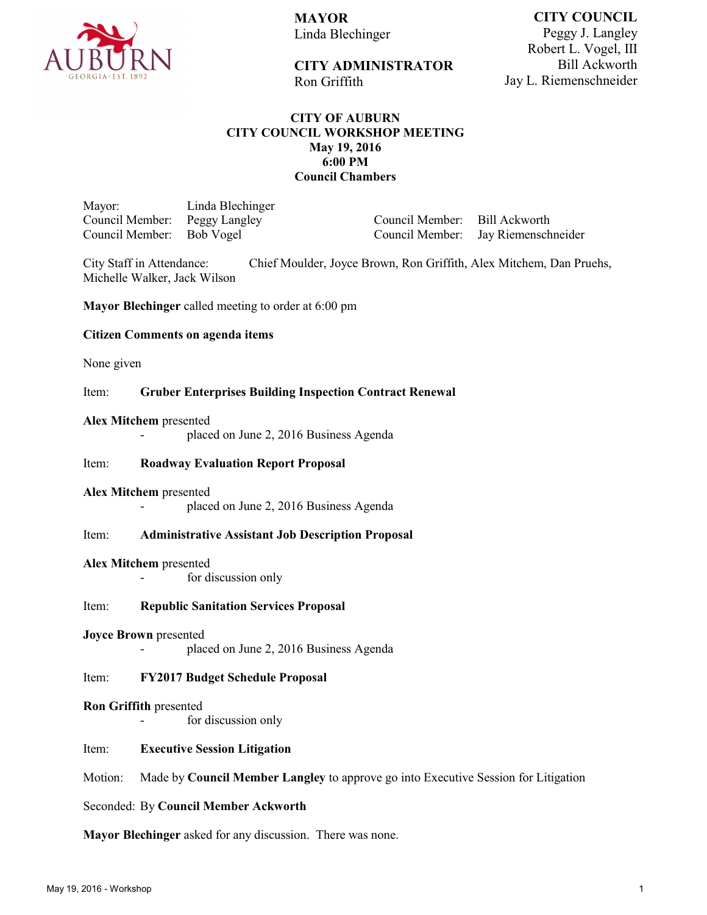

**MAYOR** Linda Blechinger

Ron Griffith

**CITY COUNCIL** Peggy J. Langley Robert L. Vogel, III Bill Ackworth Jay L. Riemenschneider

# **CITY OF AUBURN CITY COUNCIL WORKSHOP MEETING May 19, 2016 6:00 PM Council Chambers**

**CITY ADMINISTRATOR** 

Mayor: Linda Blechinger Council Member: Peggy Langley Council Member:

Council Member: Bill Ackworth Jay Riemenschneider

City Staff in Attendance: Chief Moulder, Joyce Brown, Ron Griffith, Alex Mitchem, Dan Pruehs, Michelle Walker, Jack Wilson

**Mayor Blechinger** called meeting to order at 6:00 pm

## **Citizen Comments on agenda items**

None given

### Item: **Gruber Enterprises Building Inspection Contract Renewal**

#### **Alex Mitchem** presented

placed on June 2, 2016 Business Agenda

## Item: **Roadway Evaluation Report Proposal**

#### **Alex Mitchem** presented

placed on June 2, 2016 Business Agenda

## Item: **Administrative Assistant Job Description Proposal**

#### **Alex Mitchem** presented

for discussion only

## Item: **Republic Sanitation Services Proposal**

#### **Joyce Brown** presented

placed on June 2, 2016 Business Agenda

## Item: **FY2017 Budget Schedule Proposal**

#### **Ron Griffith** presented

for discussion only

## Item: **Executive Session Litigation**

Motion: Made by **Council Member Langley** to approve go into Executive Session for Litigation

## Seconded: By **Council Member Ackworth**

**Mayor Blechinger** asked for any discussion. There was none.